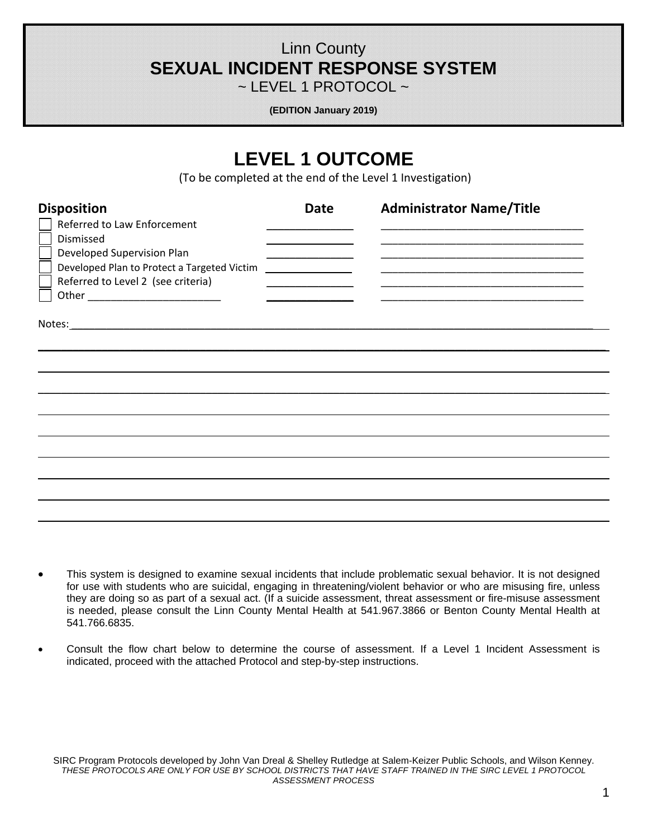# Linn County **SEXUAL INCIDENT RESPONSE SYSTEM**

 $\sim$  LEVEL 1 PROTOCOL  $\sim$ 

**(EDITION January 2019)** 

# **LEVEL 1 OUTCOME**

(To be completed at the end of the Level 1 Investigation)

| <b>Disposition</b><br>Referred to Law Enforcement<br>Dismissed<br>Developed Supervision Plan<br>Developed Plan to Protect a Targeted Victim<br>Referred to Level 2 (see criteria) | <b>Date</b><br>the control of the control of the control of<br>$\overline{\phantom{a}}$ . The contract of $\overline{\phantom{a}}$ | <b>Administrator Name/Title</b> |
|-----------------------------------------------------------------------------------------------------------------------------------------------------------------------------------|------------------------------------------------------------------------------------------------------------------------------------|---------------------------------|
|                                                                                                                                                                                   |                                                                                                                                    |                                 |
|                                                                                                                                                                                   |                                                                                                                                    |                                 |

- This system is designed to examine sexual incidents that include problematic sexual behavior. It is not designed for use with students who are suicidal, engaging in threatening/violent behavior or who are misusing fire, unless they are doing so as part of a sexual act. (If a suicide assessment, threat assessment or fire-misuse assessment is needed, please consult the Linn County Mental Health at 541.967.3866 or Benton County Mental Health at 541.766.6835.
- Consult the flow chart below to determine the course of assessment. If a Level 1 Incident Assessment is indicated, proceed with the attached Protocol and step-by-step instructions.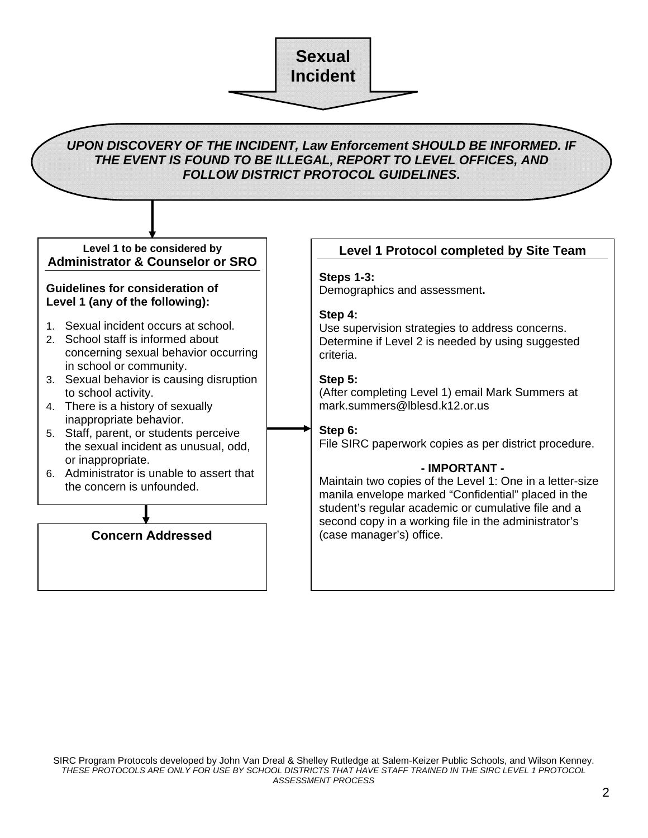

**Sexual Incident** 

#### **Guidelines for consideration of Level 1 (any of the following):**

- 1. Sexual incident occurs at school.
- 2. School staff is informed about concerning sexual behavior occurring in school or community.
- 3. Sexual behavior is causing disruption to school activity.
- 4. There is a history of sexually inappropriate behavior.
- 5. Staff, parent, or students perceive the sexual incident as unusual, odd, or inappropriate.
- 6. Administrator is unable to assert that the concern is unfounded.

#### **Steps 1-3:**

Demographics and assessment**.** 

#### **Step 4:**

Use supervision strategies to address concerns. Determine if Level 2 is needed by using suggested criteria.

#### **Step 5:**

(After completing Level 1) email Mark Summers at mark.summers@lblesd.k12.or.us

## **Step 6:**

File SIRC paperwork copies as per district procedure.

#### **- IMPORTANT -**

(case manager's) office. Maintain two copies of the Level 1: One in a letter-size manila envelope marked "Confidential" placed in the student's regular academic or cumulative file and a second copy in a working file in the administrator's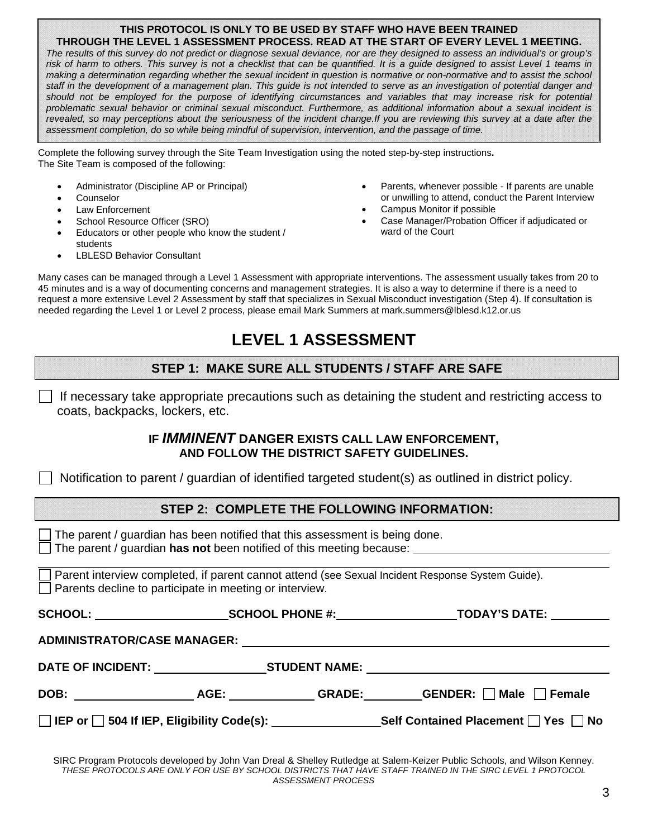#### **THIS PROTOCOL IS ONLY TO BE USED BY STAFF WHO HAVE BEEN TRAINED THROUGH THE LEVEL 1 ASSESSMENT PROCESS. READ AT THE START OF EVERY LEVEL 1 MEETING.**

risk of harm to others. This survey is not a checklist that can be quantified. It is a guide designed to assist Level 1 teams in  *assessment completion, do so while being mindful of supervision, intervention, and the passage of time. The results of this survey do not predict or diagnose sexual deviance, nor are they designed to assess an individual's or group's making a determination regarding whether the sexual incident in question is normative or non-normative and to assist the school staff in the development of a management plan. This guide is not intended to serve as an investigation of potential danger and should not be employed for the purpose of identifying circumstances and variables that may increase risk for potential problematic sexual behavior or criminal sexual misconduct. Furthermore, as additional information about a sexual incident is revealed, so may perceptions about the seriousness of the incident change.If you are reviewing this survey at a date after the* 

Complete the following survey through the Site Team Investigation using the noted step-by-step instructions**.**  The Site Team is composed of the following:

- 
- 
- 
- 
- Educators or other people who know the student / students
- LBLESD Behavior Consultant
- Administrator (Discipline AP or Principal) **Administrator (Discipline AP or Principal**) **Administrator possible If parents are unable** • Counselor or unwilling to attend, conduct the Parent Interview
- Law Enforcement **Campus Monitor if possible** Campus Monitor if possible
- School Resource Officer (SRO)<br>
Figure at the Case Manager/Probation Officer if adjudicated or<br>
Figure at the Court

Many cases can be managed through a Level 1 Assessment with appropriate interventions. The assessment usually takes from 20 to 45 minutes and is a way of documenting concerns and management strategies. It is also a way to determine if there is a need to request a more extensive Level 2 Assessment by staff that specializes in Sexual Misconduct investigation (Step 4). If consultation is needed regarding the Level 1 or Level 2 process, please email Mark Summers at mark.summers@lblesd.k12.or.us

# **LEVEL 1 ASSESSMENT**

## **STEP 1: MAKE SURE ALL STUDENTS / STAFF ARE SAFE**

 $\Box$  If necessary take appropriate precautions such as detaining the student and restricting access to coats, backpacks, lockers, etc.

#### **IF** *IMMINENT* **DANGER EXISTS CALL LAW ENFORCEMENT, AND FOLLOW THE DISTRICT SAFETY GUIDELINES.**

 $\Box$ Notification to parent / guardian of identified targeted student(s) as outlined in district policy.

### **STEP 2: COMPLETE THE FOLLOWING INFORMATION:**

 $\Box$  The parent / guardian has been notified that this assessment is being done.<br> $\Box$  The parent / guardian has not been notified of this meeting because: \_\_\_\_\_

The parent / guardian **has not** been notified of this meeting because:

 $\Box$  Parent interview completed, if parent cannot attend (see Sexual Incident Response System Guide). Parents decline to participate in meeting or interview.

|  | <b>TODAY'S DATE: _________</b>                                                   |  |  |
|--|----------------------------------------------------------------------------------|--|--|
|  |                                                                                  |  |  |
|  | DATE OF INCIDENT: ______________________STUDENT NAME: __________________________ |  |  |
|  |                                                                                  |  |  |
|  | Self Contained Placement $\Box$ Yes $\Box$ No                                    |  |  |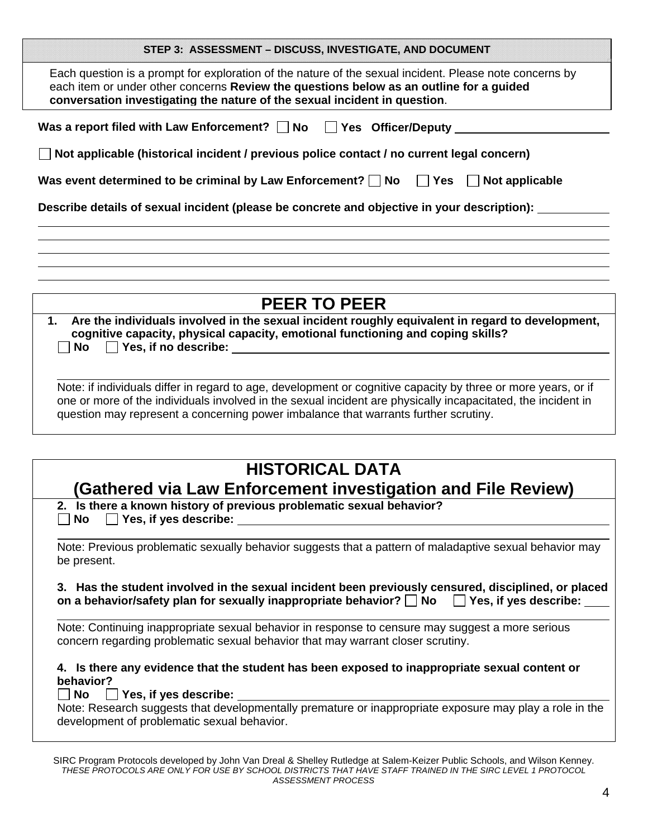| STEP 3: ASSESSMENT - DISCUSS, INVESTIGATE, AND DOCUMENT                                                                                                                                                                                                                                                      |
|--------------------------------------------------------------------------------------------------------------------------------------------------------------------------------------------------------------------------------------------------------------------------------------------------------------|
| Each question is a prompt for exploration of the nature of the sexual incident. Please note concerns by<br>each item or under other concerns Review the questions below as an outline for a guided<br>conversation investigating the nature of the sexual incident in question.                              |
| Was a report filed with Law Enforcement? $\Box$ No $\Box$ Yes Officer/Deputy $\Box$                                                                                                                                                                                                                          |
| Not applicable (historical incident / previous police contact / no current legal concern)                                                                                                                                                                                                                    |
| Was event determined to be criminal by Law Enforcement? $\Box$ No $\Box$ Yes $\Box$<br>Not applicable                                                                                                                                                                                                        |
| Describe details of sexual incident (please be concrete and objective in your description):                                                                                                                                                                                                                  |
|                                                                                                                                                                                                                                                                                                              |
|                                                                                                                                                                                                                                                                                                              |
| <b>PEER TO PEER</b>                                                                                                                                                                                                                                                                                          |
| Are the individuals involved in the sexual incident roughly equivalent in regard to development,<br>1.<br>cognitive capacity, physical capacity, emotional functioning and coping skills?<br>No                                                                                                              |
| Note: if individuals differ in regard to age, development or cognitive capacity by three or more years, or if<br>one or more of the individuals involved in the sexual incident are physically incapacitated, the incident in                                                                                |
| question may represent a concerning power imbalance that warrants further scrutiny.                                                                                                                                                                                                                          |
| <b>HISTORICAL DATA</b>                                                                                                                                                                                                                                                                                       |
| <b>Gathered via Law Enforcement investigation and File Review)</b>                                                                                                                                                                                                                                           |
| 2. Is there a known history of previous problematic sexual behavior?<br>Yes, if yes describe: Network of the Second Second Second Second Second Second Second Second Second Second Second Second Second Second Second Second Second Second Second Second Second Second Second Second Second Second Sec<br>No |
| Note: Previous problematic sexually behavior suggests that a pattern of maladaptive sexual behavior may<br>be present.                                                                                                                                                                                       |
| 3. Has the student involved in the sexual incident been previously censured, disciplined, or placed<br>on a behavior/safety plan for sexually inappropriate behavior? $\Box$ No $\Box$ Yes, if yes describe:                                                                                                 |
| Note: Continuing inappropriate sexual behavior in response to censure may suggest a more serious<br>concern regarding problematic sexual behavior that may warrant closer scrutiny.                                                                                                                          |
| 4. Is there any evidence that the student has been exposed to inappropriate sexual content or<br>behavior?                                                                                                                                                                                                   |
| No<br>$\Box$ Yes, if yes describe:<br>Note: Research suggests that developmentally premature or inappropriate exposure may play a role in the<br>development of problematic sexual behavior.                                                                                                                 |
|                                                                                                                                                                                                                                                                                                              |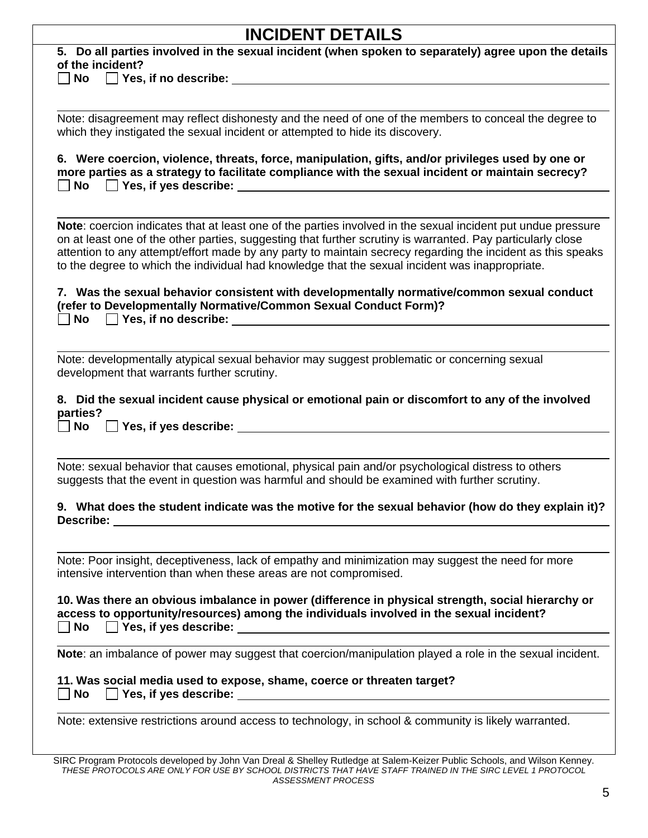| <b>INCIDENT DETAILS</b>                                                                                                                                                                                                                                                                                                                                                                                                                       |
|-----------------------------------------------------------------------------------------------------------------------------------------------------------------------------------------------------------------------------------------------------------------------------------------------------------------------------------------------------------------------------------------------------------------------------------------------|
| 5. Do all parties involved in the sexual incident (when spoken to separately) agree upon the details<br>of the incident?                                                                                                                                                                                                                                                                                                                      |
| $\Box$ No $\Box$ Yes, if no describe: $\Box$                                                                                                                                                                                                                                                                                                                                                                                                  |
|                                                                                                                                                                                                                                                                                                                                                                                                                                               |
| Note: disagreement may reflect dishonesty and the need of one of the members to conceal the degree to<br>which they instigated the sexual incident or attempted to hide its discovery.                                                                                                                                                                                                                                                        |
|                                                                                                                                                                                                                                                                                                                                                                                                                                               |
| 6. Were coercion, violence, threats, force, manipulation, gifts, and/or privileges used by one or<br>more parties as a strategy to facilitate compliance with the sexual incident or maintain secrecy?<br>$\Box$ No $\Box$ Yes, if yes describe: $\Box$ No $\Box$ Yes, if yes describe:                                                                                                                                                       |
| Note: coercion indicates that at least one of the parties involved in the sexual incident put undue pressure<br>on at least one of the other parties, suggesting that further scrutiny is warranted. Pay particularly close<br>attention to any attempt/effort made by any party to maintain secrecy regarding the incident as this speaks<br>to the degree to which the individual had knowledge that the sexual incident was inappropriate. |
| 7. Was the sexual behavior consistent with developmentally normative/common sexual conduct<br>(refer to Developmentally Normative/Common Sexual Conduct Form)?<br>$\mathsf{No} \quad \Box$ Yes, if no describe: $\Box$                                                                                                                                                                                                                        |
| Note: developmentally atypical sexual behavior may suggest problematic or concerning sexual<br>development that warrants further scrutiny.                                                                                                                                                                                                                                                                                                    |
| 8. Did the sexual incident cause physical or emotional pain or discomfort to any of the involved<br>parties?<br>No                                                                                                                                                                                                                                                                                                                            |
|                                                                                                                                                                                                                                                                                                                                                                                                                                               |
| Note: sexual behavior that causes emotional, physical pain and/or psychological distress to others<br>suggests that the event in question was harmful and should be examined with further scrutiny.                                                                                                                                                                                                                                           |
| 9. What does the student indicate was the motive for the sexual behavior (how do they explain it)?                                                                                                                                                                                                                                                                                                                                            |
| Note: Poor insight, deceptiveness, lack of empathy and minimization may suggest the need for more<br>intensive intervention than when these areas are not compromised.                                                                                                                                                                                                                                                                        |
| 10. Was there an obvious imbalance in power (difference in physical strength, social hierarchy or<br>access to opportunity/resources) among the individuals involved in the sexual incident?                                                                                                                                                                                                                                                  |
| Note: an imbalance of power may suggest that coercion/manipulation played a role in the sexual incident.                                                                                                                                                                                                                                                                                                                                      |
| 11. Was social media used to expose, shame, coerce or threaten target?                                                                                                                                                                                                                                                                                                                                                                        |
|                                                                                                                                                                                                                                                                                                                                                                                                                                               |
| Note: extensive restrictions around access to technology, in school & community is likely warranted.                                                                                                                                                                                                                                                                                                                                          |
|                                                                                                                                                                                                                                                                                                                                                                                                                                               |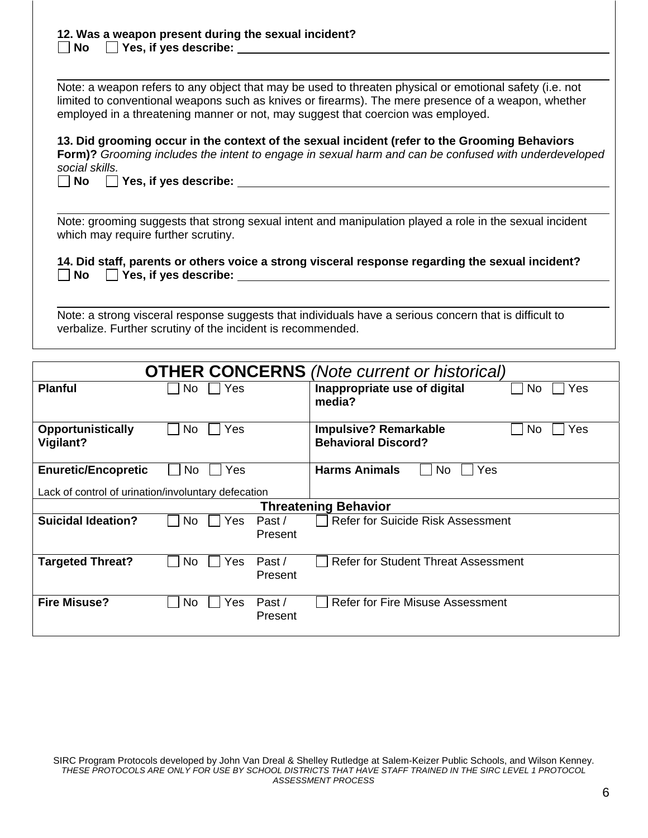| 12. Was a weapon present during the sexual incident? |
|------------------------------------------------------|
| $\Box$ No $\Box$ Yes, if yes describe:               |
|                                                      |

Note: a weapon refers to any object that may be used to threaten physical or emotional safety (i.e. not limited to conventional weapons such as knives or firearms). The mere presence of a weapon, whether employed in a threatening manner or not, may suggest that coercion was employed.

 *social skills.* **13. Did grooming occur in the context of the sexual incident (refer to the Grooming Behaviors Form)?** *Grooming includes the intent to engage in sexual harm and can be confused with underdeveloped* 

  **No Yes, if yes describe:**   $\Box$  No

 $\overline{a}$ 

L

L

Note: grooming suggests that strong sexual intent and manipulation played a role in the sexual incident which may require further scrutiny.

T<sub>1</sub>. But start, parents of others vo<br>□ No □ Yes, if yes describe: **14. Did staff, parents or others voice a strong visceral response regarding the sexual incident?** 

Note: a strong visceral response suggests that individuals have a serious concern that is difficult to verbalize. Further scrutiny of the incident is recommended.

| <b>OTHER CONCERNS</b> (Note current or historical)  |             |                   |                                                                          |  |  |  |  |  |
|-----------------------------------------------------|-------------|-------------------|--------------------------------------------------------------------------|--|--|--|--|--|
| <b>Planful</b>                                      | Yes<br>No.  |                   | Inappropriate use of digital<br>No<br>Yes<br>media?                      |  |  |  |  |  |
| <b>Opportunistically</b><br>Vigilant?               | No.<br>Yes  |                   | <b>Impulsive? Remarkable</b><br>Yes<br>No.<br><b>Behavioral Discord?</b> |  |  |  |  |  |
| <b>Enuretic/Encopretic</b>                          | No<br>Yes   |                   | <b>Harms Animals</b><br>No.<br>Yes                                       |  |  |  |  |  |
| Lack of control of urination/involuntary defecation |             |                   |                                                                          |  |  |  |  |  |
|                                                     |             |                   | <b>Threatening Behavior</b>                                              |  |  |  |  |  |
| <b>Suicidal Ideation?</b>                           | No.<br>Yes. | Past/<br>Present  | Refer for Suicide Risk Assessment                                        |  |  |  |  |  |
| <b>Targeted Threat?</b>                             | No.<br>Yes  | Past /<br>Present | <b>Refer for Student Threat Assessment</b>                               |  |  |  |  |  |
| <b>Fire Misuse?</b>                                 | No.<br>Yes  | Past/<br>Present  | Refer for Fire Misuse Assessment                                         |  |  |  |  |  |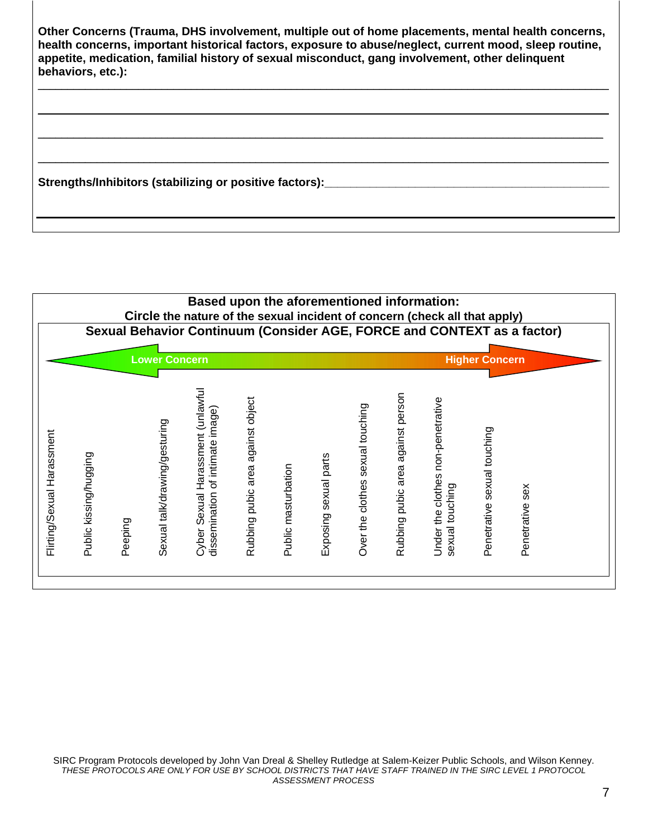| Other Concerns (Trauma, DHS involvement, multiple out of home placements, mental health concerns,<br>health concerns, important historical factors, exposure to abuse/neglect, current mood, sleep routine,<br>appetite, medication, familial history of sexual misconduct, gang involvement, other delinquent<br>behaviors, etc.): |
|-------------------------------------------------------------------------------------------------------------------------------------------------------------------------------------------------------------------------------------------------------------------------------------------------------------------------------------|
|                                                                                                                                                                                                                                                                                                                                     |
| Strengths/Inhibitors (stabilizing or positive factors):                                                                                                                                                                                                                                                                             |

|                            |                        |         | <b>Lower Concern</b>          | Based upon the aforementioned information:<br>Circle the nature of the sexual incident of concern (check all that apply)<br>Sexual Behavior Continuum (Consider AGE, FORCE and CONTEXT as a factor) |                                      |                     |                          |                                     |                                      |                                                         | <b>Higher Concern</b>          |                    |  |
|----------------------------|------------------------|---------|-------------------------------|-----------------------------------------------------------------------------------------------------------------------------------------------------------------------------------------------------|--------------------------------------|---------------------|--------------------------|-------------------------------------|--------------------------------------|---------------------------------------------------------|--------------------------------|--------------------|--|
| Flirting/Sexual Harassment | Public kissing/hugging | Peeping | Sexual talk/drawing/gesturing | Cyber Sexual Harassment (unlawful<br>dissemination of intimate image)                                                                                                                               | against object<br>Rubbing pubic area | Public masturbation | sexual parts<br>Exposing | sexual touching<br>Over the clothes | against person<br>Rubbing pubic area | non-penetrative<br>Under the clothes<br>sexual touching | sexual touching<br>Penetrative | sex<br>Penetrative |  |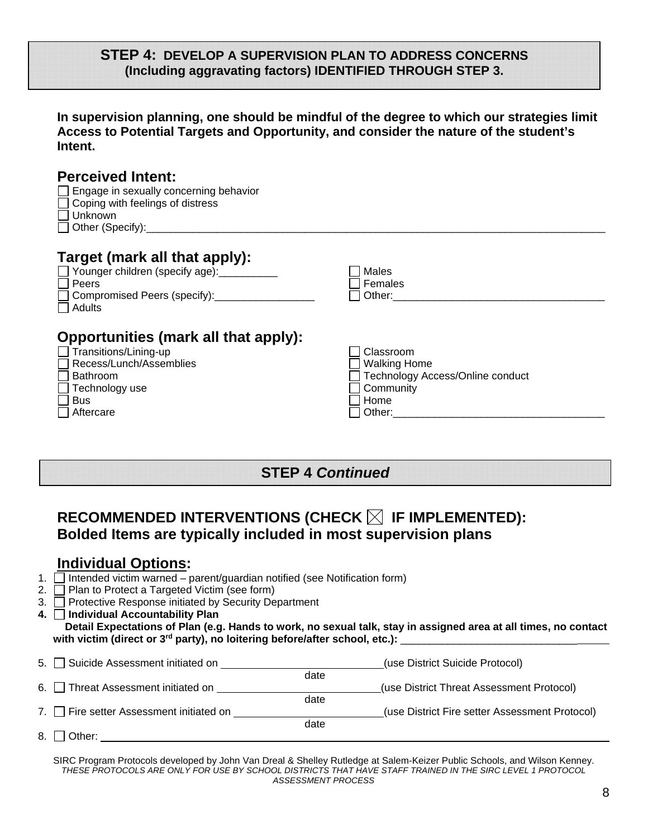### **STEP 4: DEVELOP A SUPERVISION PLAN TO ADDRESS CONCERNS (Including aggravating factors) IDENTIFIED THROUGH STEP 3.**

**In supervision planning, one should be mindful of the degree to which our strategies limit Access to Potential Targets and Opportunity, and consider the nature of the student's Intent.** 

| <b>Perceived Intent:</b><br>Engage in sexually concerning behavior<br>Coping with feelings of distress<br><b>Unknown</b><br>Other (Specify): Management of the Change of the Change of the Change of the Change of the Change of the Change of the Change of the Change of the Change of the Change of the Change of the Change of the Change of the Chang |                                                                                                                                                                                                                                                                                                                             |
|------------------------------------------------------------------------------------------------------------------------------------------------------------------------------------------------------------------------------------------------------------------------------------------------------------------------------------------------------------|-----------------------------------------------------------------------------------------------------------------------------------------------------------------------------------------------------------------------------------------------------------------------------------------------------------------------------|
| Target (mark all that apply):<br>Younger children (specify age): ___________<br>Peers<br>Compromised Peers (specify):______________<br>Adults                                                                                                                                                                                                              | Males<br>Females<br>Other: and the control of the control of the control of the control of the control of the control of the control of the control of the control of the control of the control of the control of the control of the control of t                                                                          |
| <b>Opportunities (mark all that apply):</b><br>Transitions/Lining-up<br>Recess/Lunch/Assemblies<br><b>Bathroom</b><br>Technology use<br><b>Bus</b><br>Aftercare                                                                                                                                                                                            | Classroom<br><b>Walking Home</b><br>Technology Access/Online conduct<br>Community<br>Home<br>Other: the contract of the contract of the contract of the contract of the contract of the contract of the contract of the contract of the contract of the contract of the contract of the contract of the contract of the con |

## **STEP 4** *Continued*

# RECOMMENDED INTERVENTIONS (CHECK  $\boxtimes$  IF IMPLEMENTED): **Bolded Items are typically included in most supervision plans**

### **Individual Options:**

- 1.  $\Box$  Intended victim warned parent/guardian notified (see Notification form)
- 2.  $\Box$  Plan to Protect a Targeted Victim (see form)
- 3. Protective Response initiated by Security Department
- <u>

<del>■</del><br>
Intended victim warned pa</u><br>
 Plan to Protect a Targeted<br>
 Protective Response initiate<br>
 **Individual Accountability<br>
Detail Expectations of Plan 4. Individual Accountability Plan Detail Expectations of Plan (e.g. Hands to work, no sexual talk, stay in assigned area at all times, no contact**  with victim (direct or 3<sup>rd</sup> party), no loitering before/after school, etc.):

| 5. Suicide Assessment initiated on     |      | (use District Suicide Protocol)                |
|----------------------------------------|------|------------------------------------------------|
|                                        | date |                                                |
| 6. Threat Assessment initiated on      |      | (use District Threat Assessment Protocol)      |
|                                        | date |                                                |
| 7. Fire setter Assessment initiated on |      | (use District Fire setter Assessment Protocol) |
|                                        | date |                                                |
| 8. $\Box$ Other:                       |      |                                                |
|                                        |      |                                                |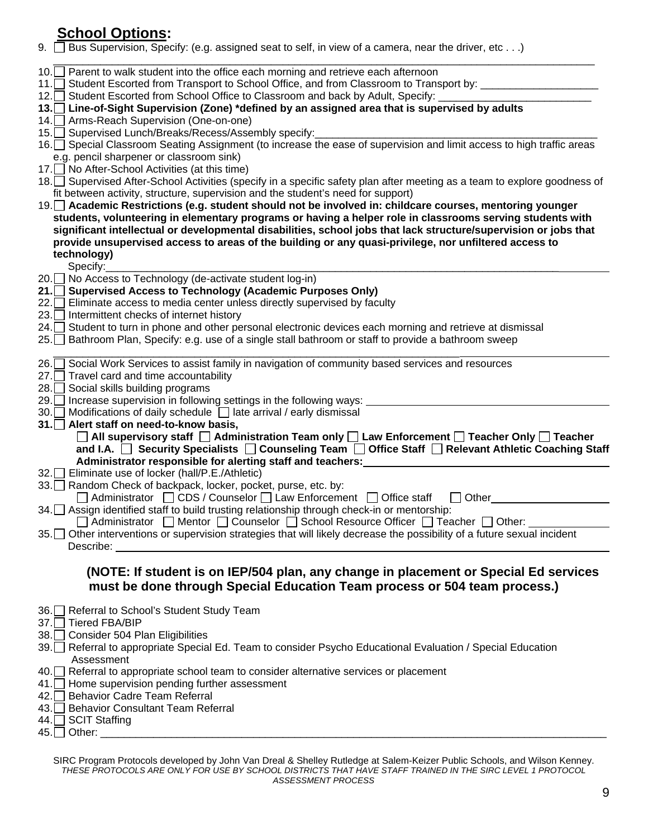| <b>School Options:</b>                                                                                      |  |
|-------------------------------------------------------------------------------------------------------------|--|
| 0. $\Box$ Bus Supervision, Specify: (e.g. assigned seat to self, in view of a camera, near the driver, etc) |  |

| <u>School Options:</u>                                                                                                                                                                                            |  |
|-------------------------------------------------------------------------------------------------------------------------------------------------------------------------------------------------------------------|--|
| 9. Bus Supervision, Specify: (e.g. assigned seat to self, in view of a camera, near the driver, etc)                                                                                                              |  |
| 10. Parent to walk student into the office each morning and retrieve each afternoon                                                                                                                               |  |
| 11. Student Escorted from Transport to School Office, and from Classroom to Transport by: ________________                                                                                                        |  |
| 12. Student Escorted from School Office to Classroom and back by Adult, Specify:                                                                                                                                  |  |
| 13. Line-of-Sight Supervision (Zone) *defined by an assigned area that is supervised by adults                                                                                                                    |  |
| 14. Arms-Reach Supervision (One-on-one)                                                                                                                                                                           |  |
| 15. Supervised Lunch/Breaks/Recess/Assembly specify:<br>16. Special Classroom Seating Assignment (to increase the ease of supervision and limit access to high traffic areas                                      |  |
| e.g. pencil sharpener or classroom sink)                                                                                                                                                                          |  |
| 17. No After-School Activities (at this time)                                                                                                                                                                     |  |
| 18. Supervised After-School Activities (specify in a specific safety plan after meeting as a team to explore goodness of                                                                                          |  |
| fit between activity, structure, supervision and the student's need for support)                                                                                                                                  |  |
| 19. Academic Restrictions (e.g. student should not be involved in: childcare courses, mentoring younger                                                                                                           |  |
| students, volunteering in elementary programs or having a helper role in classrooms serving students with                                                                                                         |  |
| significant intellectual or developmental disabilities, school jobs that lack structure/supervision or jobs that                                                                                                  |  |
| provide unsupervised access to areas of the building or any quasi-privilege, nor unfiltered access to                                                                                                             |  |
| technology)<br>Specify:                                                                                                                                                                                           |  |
| 20. No Access to Technology (de-activate student log-in)                                                                                                                                                          |  |
| <b>Supervised Access to Technology (Academic Purposes Only)</b><br>21. $\Box$                                                                                                                                     |  |
| 22. Eliminate access to media center unless directly supervised by faculty                                                                                                                                        |  |
| 23. Intermittent checks of internet history                                                                                                                                                                       |  |
| 24. Student to turn in phone and other personal electronic devices each morning and retrieve at dismissal<br>25. Bathroom Plan, Specify: e.g. use of a single stall bathroom or staff to provide a bathroom sweep |  |
|                                                                                                                                                                                                                   |  |
| $\Box$ Social Work Services to assist family in navigation of community based services and resources<br>$26.\lceil$                                                                                               |  |
| 27. Travel card and time accountability                                                                                                                                                                           |  |
| 28.<br>Social skills building programs                                                                                                                                                                            |  |
| 29. Increase supervision in following settings in the following ways:                                                                                                                                             |  |
| 30. Modifications of daily schedule   late arrival / early dismissal                                                                                                                                              |  |
| 31. Alert staff on need-to-know basis,<br>◯ All supervisory staff ◯ Administration Team only ◯ Law Enforcement ◯ Teacher Only ◯ Teacher                                                                           |  |
| and I.A. □ Security Specialists □ Counseling Team □ Office Staff □ Relevant Athletic Coaching Staff                                                                                                               |  |
| Administrator responsible for alerting staff and teachers:                                                                                                                                                        |  |
| 32. Eliminate use of locker (hall/P.E./Athletic)                                                                                                                                                                  |  |
| 33. Random Check of backpack, locker, pocket, purse, etc. by:                                                                                                                                                     |  |
| $\Box$ Administrator $\Box$ CDS / Counselor $\Box$ Law Enforcement<br>Office staff<br>Other                                                                                                                       |  |
| 34. Assign identified staff to build trusting relationship through check-in or mentorship:                                                                                                                        |  |
| □ Administrator □ Mentor □ Counselor □ School Resource Officer □ Teacher □ Other:                                                                                                                                 |  |
| 35. Other interventions or supervision strategies that will likely decrease the possibility of a future sexual incident<br>Describe:                                                                              |  |
| (NOTE: If student is on IEP/504 plan, any change in placement or Special Ed services                                                                                                                              |  |
| must be done through Special Education Team process or 504 team process.)                                                                                                                                         |  |
|                                                                                                                                                                                                                   |  |
| 36. Referral to School's Student Study Team<br>37. Tiered FBA/BIP                                                                                                                                                 |  |
| 38. Consider 504 Plan Eligibilities                                                                                                                                                                               |  |
| 39. Referral to appropriate Special Ed. Team to consider Psycho Educational Evaluation / Special Education                                                                                                        |  |
| Assessment                                                                                                                                                                                                        |  |
| 40. Referral to appropriate school team to consider alternative services or placement                                                                                                                             |  |
| 41. Home supervision pending further assessment                                                                                                                                                                   |  |
| 42. Behavior Cadre Team Referral                                                                                                                                                                                  |  |
| 43. Behavior Consultant Team Referral                                                                                                                                                                             |  |
| 44. SCIT Staffing                                                                                                                                                                                                 |  |
|                                                                                                                                                                                                                   |  |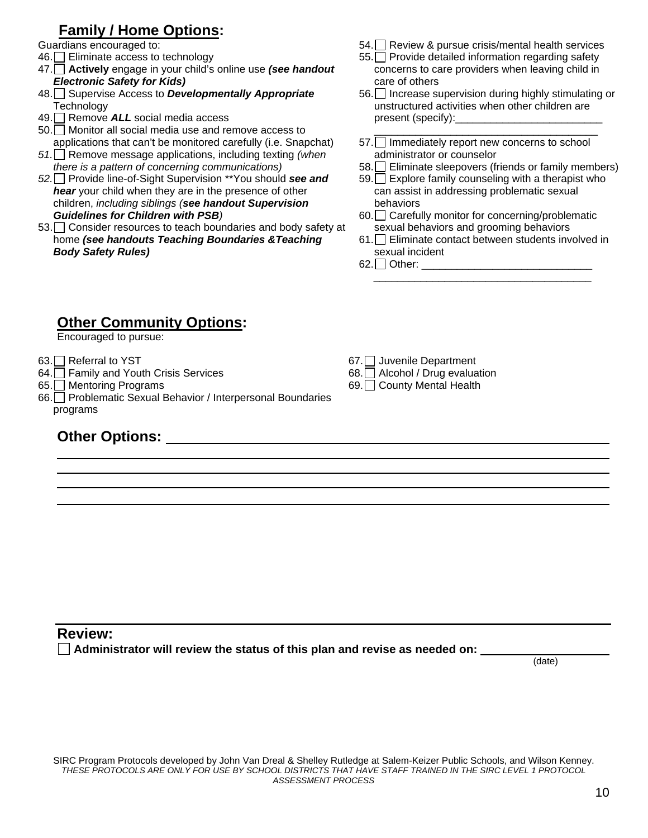# **Family / Home Options:**

- Summaris chocaraged to:<br>46. Eliminate access to technology<br>47 **Actively** engage in your child's
- 10. Emminate access to technology<br>47. **Actively** engage in your child's online use *(see handout* Flectronic Safety for Kids) *Electronic Safety for Kids)*
- 48. Supervise Access to *Developmentally Appropriate*  Technology
- 49. Remove  $ALL$  social media access<br>50. Monitor all social media use and re<br>applications that can't be monitored ca
- 50. Monitor all social media use and remove access to
- *51.* Remove message applications, including texting *(when there is a pattern of concerning communications)* applications that can't be monitored carefully (i.e. Snapchat)
- From the *Same of Supervision* \*\*You should **see and**<br>*bear* your child when they are in the presence of other *there is a pattern of concerning communications) hear* your child when they are in the presence of other children, *including siblings (see handout Supervision Guidelines for Children with PSB)*
- $53.$  Consider resources to teach boundaries and body safety at<br>home (see handouts Teaching Boundaries & Teaching home *(see handouts Teaching Boundaries &Teaching Body Safety Rules)*
- 
- concerns to care providers when leaving child in Guardians encouraged to:<br>  $\begin{array}{r} \text{S4.} \square \text{ Review 8 pursue crisis/mental health services} \\ 46. \square \text{ Eliminate access to technology} \\ 47. \square \text{ Artively engage in your child's online use (see handout) \\ 47. \square \text{ Artively engage in your child's online use (see handout) \\ 48. \square \text{ There is no case in your child's online use (see handout) \\ 49. \square \text{ Interfield} \text{ or } 10. \square \text{ There are no evidence when leaving child in} \\ 40. \square \text{ Partively.} \end{array}$ 55. Provide detailed information regarding safety care of others
	- 56. Increase supervision during highly stimulating or<br>unstructured activities when other children are unstructured activities when other children are present (specify):
	- 57. Immediately report new concerns to school \_\_\_\_\_\_\_\_\_\_\_\_\_\_\_\_\_\_\_\_\_\_\_\_\_\_\_\_\_\_\_\_\_\_\_\_\_\_ administrator or counselor
	-
	- 58. Eliminate sleepovers (friends or family members)<br>59. Explore family counseling with a therapist who<br>can assist in addressing problematic sexual 59. Explore family counseling with a therapist who can assist in addressing problematic sexual behaviors
	- 60. Carefully monitor for concerning/problematic<br>sexual behaviors and grooming behaviors sexual behaviors and grooming behaviors
	- 61. Eliminate contact between students involved in<br>sexual incident 62. Other: \_\_\_\_\_\_\_\_\_\_\_\_\_\_\_\_\_\_\_\_\_\_\_\_\_\_\_\_\_ sexual incident
	-

# **Other Community Options:**

Encouraged to pursue:

63. $\Box$  Referral to YST

 $\overline{a}$ 

 $\overline{a}$ 

- 64. Family and Youth Crisis Services
- 65. Mentoring Programs
- $\prod_{n=1}^{n}$ 66. Problematic Sexual Behavior / Interpersonal Boundaries programs

# **Other Options:**

- $\Box$ 67. Juvenile Department
- $68.$  Alcohol / Drug evaluation
- 69. County Mental Health

## **Review:**

**■ Administrator will review the status of this plan and revise as needed on:** △

(date)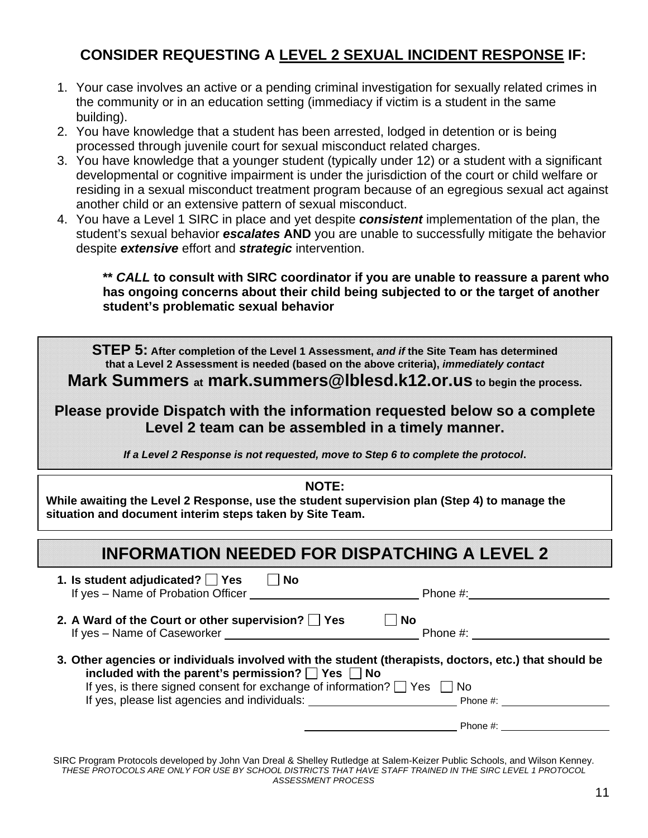# **CONSIDER REQUESTING A LEVEL 2 SEXUAL INCIDENT RESPONSE IF:**

- 1. Your case involves an active or a pending criminal investigation for sexually related crimes in the community or in an education setting (immediacy if victim is a student in the same building).
- 2. You have knowledge that a student has been arrested, lodged in detention or is being processed through juvenile court for sexual misconduct related charges.
- 3. You have knowledge that a younger student (typically under 12) or a student with a significant developmental or cognitive impairment is under the jurisdiction of the court or child welfare or residing in a sexual misconduct treatment program because of an egregious sexual act against another child or an extensive pattern of sexual misconduct.
- 4. You have a Level 1 SIRC in place and yet despite *consistent* implementation of the plan, the student's sexual behavior *escalates* **AND** you are unable to successfully mitigate the behavior despite *extensive* effort and *strategic* intervention.

**\*\*** *CALL* **to consult with SIRC coordinator if you are unable to reassure a parent who has ongoing concerns about their child being subjected to or the target of another student's problematic sexual behavior** 

 **that a Level 2 Assessment is needed (based on the above criteria),** *immediately contact*  **STEP 5: After completion of the Level 1 Assessment,** *and if* **the Site Team has determined** 

**Mark Summers at mark.summers@lblesd.k12.or.us to begin the process.** 

**Please provide Dispatch with the information requested below so a complete Level 2 team can be assembled in a timely manner.** 

*If a Level 2 Response is not requested, move to Step 6 to complete the protocol***.** 

| <b>NOTE:</b><br>While awaiting the Level 2 Response, use the student supervision plan (Step 4) to manage the<br>situation and document interim steps taken by Site Team.<br><b>INFORMATION NEEDED FOR DISPATCHING A LEVEL 2</b>                           |                |  |  |  |
|-----------------------------------------------------------------------------------------------------------------------------------------------------------------------------------------------------------------------------------------------------------|----------------|--|--|--|
|                                                                                                                                                                                                                                                           |                |  |  |  |
| 2. A Ward of the Court or other supervision? Ses<br>If yes - Name of Caseworker _________                                                                                                                                                                 | No<br>Phone #: |  |  |  |
| 3. Other agencies or individuals involved with the student (therapists, doctors, etc.) that should be<br>included with the parent's permission? $\Box$ Yes $\Box$ No<br>If yes, is there signed consent for exchange of information? $\Box$ Yes $\Box$ No |                |  |  |  |
|                                                                                                                                                                                                                                                           | Phone #:       |  |  |  |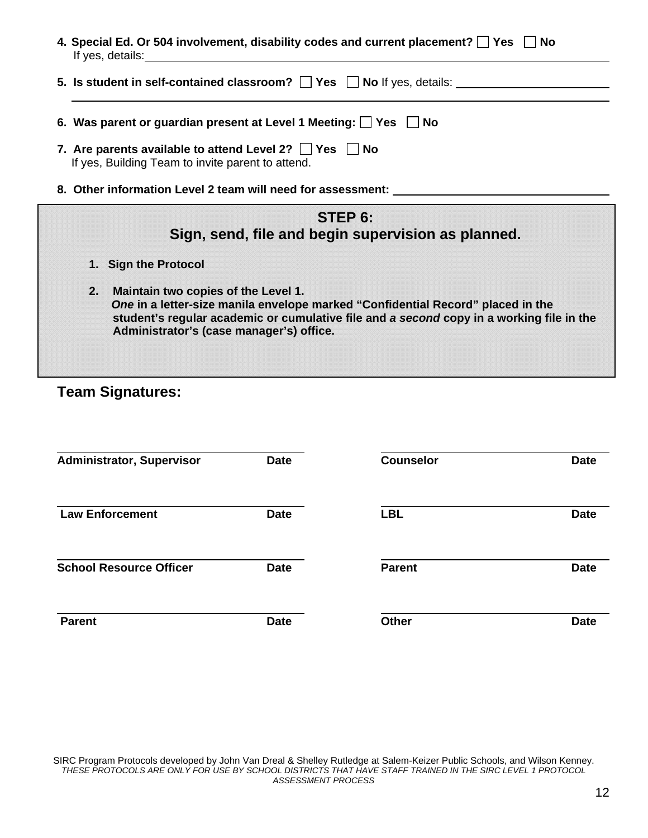| 4. Special Ed. Or 504 involvement, disability codes and current placement? $\Box$ Yes $\Box$ No<br>If yes, details: |  |
|---------------------------------------------------------------------------------------------------------------------|--|
|                                                                                                                     |  |

- **5. Is student in self-contained classroom?**  $\Box$  Yes  $\Box$  No If yes, details:  $\Box$
- **6. Was parent or guardian present at Level 1 Meeting: Yes No**
- **7. Are parents available to attend Level 2?**  $\Box$  **Yes**  $\Box$  **No** If yes Ruilding Team to invite parent to attend If yes, Building Team to invite parent to attend.
- **8. Other information Level 2 team will need for assessment:**

| STEP 6:                                                                                  |
|------------------------------------------------------------------------------------------|
| Sign, send, file and begin supervision as planned.                                       |
| 1. Sign the Protocol                                                                     |
| 2. Maintain two copies of the Level 1.                                                   |
| One in a letter-size manila envelope marked "Confidential Record" placed in the          |
| student's regular academic or cumulative file and a second copy in a working file in the |
| Administrator's (case manager's) office.                                                 |

# **Team Signatures:**

| <b>Administrator, Supervisor</b> | <b>Date</b> | <b>Counselor</b> | <b>Date</b> |
|----------------------------------|-------------|------------------|-------------|
| <b>Law Enforcement</b>           | <b>Date</b> | <b>LBL</b>       | <b>Date</b> |
| <b>School Resource Officer</b>   | <b>Date</b> | <b>Parent</b>    | <b>Date</b> |
| <b>Parent</b>                    | <b>Date</b> | <b>Other</b>     | <b>Date</b> |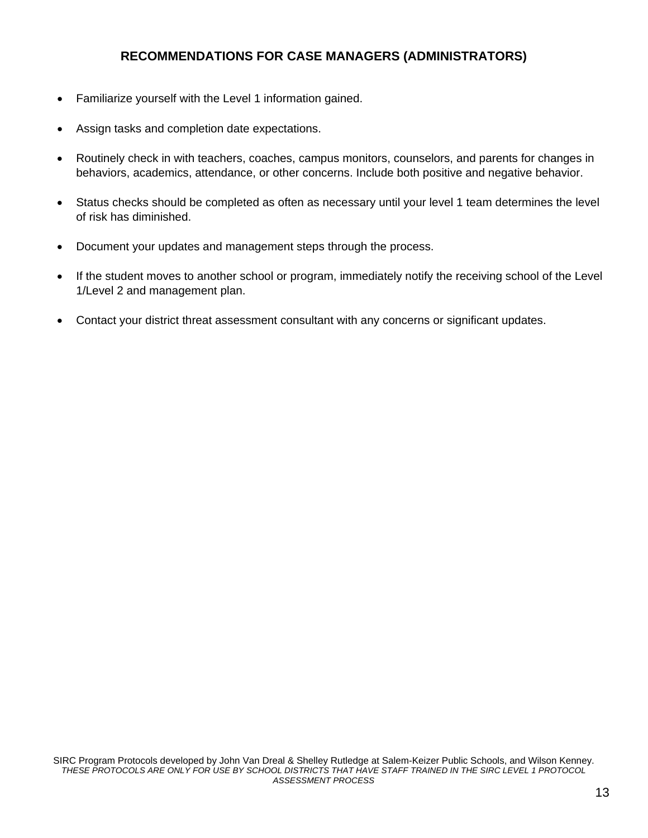#### **RECOMMENDATIONS FOR CASE MANAGERS (ADMINISTRATORS)**

- Familiarize yourself with the Level 1 information gained.
- Assign tasks and completion date expectations.
- Routinely check in with teachers, coaches, campus monitors, counselors, and parents for changes in behaviors, academics, attendance, or other concerns. Include both positive and negative behavior.
- Status checks should be completed as often as necessary until your level 1 team determines the level of risk has diminished.
- Document your updates and management steps through the process.
- If the student moves to another school or program, immediately notify the receiving school of the Level 1/Level 2 and management plan.
- Contact your district threat assessment consultant with any concerns or significant updates.